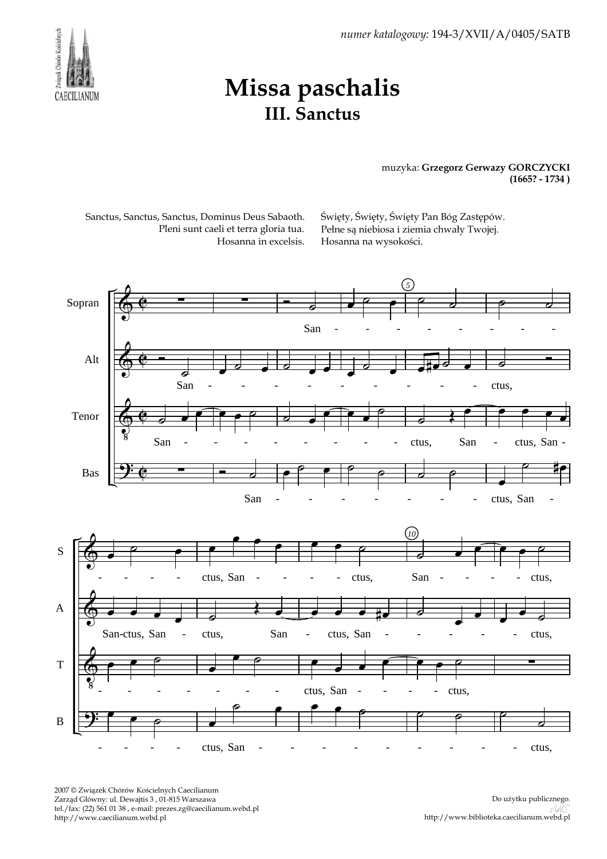numer katalogowy: 194-3/XVII/A/0405/SATB



## Missa paschalis III. Sanctus

## muzyka: Grzegorz Gerwazy GORCZYCKI (1665? - 1734 )

Sanctus, Sanctus, Sanctus, Dominus Deus Sabaoth. Pleni sunt caeli et terra gloria tua. Hosanna in excelsis. Święty, Święty, Święty Pan Bóg Zastępów. Pełne są niebiosa i ziemia chwały Twojej. Hosanna na wysokości.



2007 © Związek Chórów Kościelnych Caecilianum Zarząd Główny: ul. Dewajtis 3 , 01-815 Warszawa tel./fax: (22) 561 01 38 , e-mail: prezes.zg@caecilianum.webd.pl http://www.caecilianum.webd.pl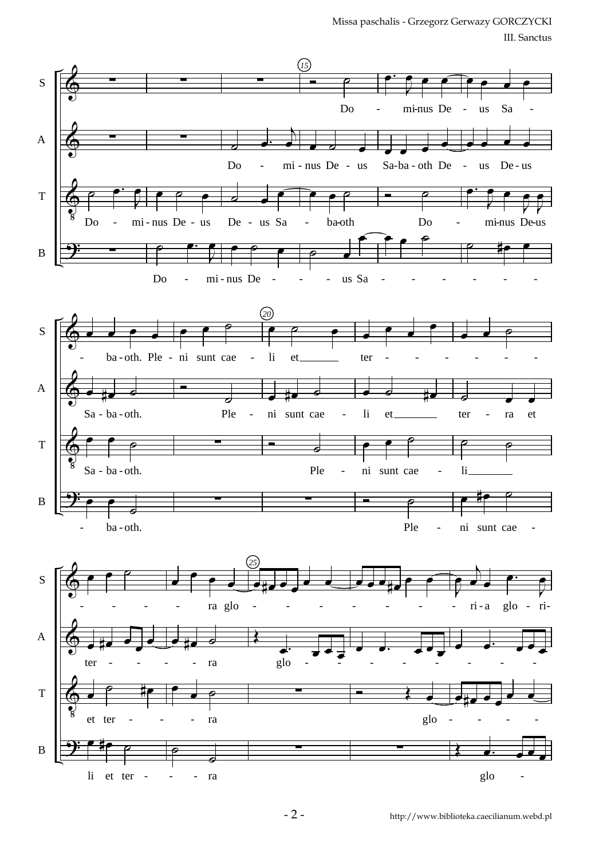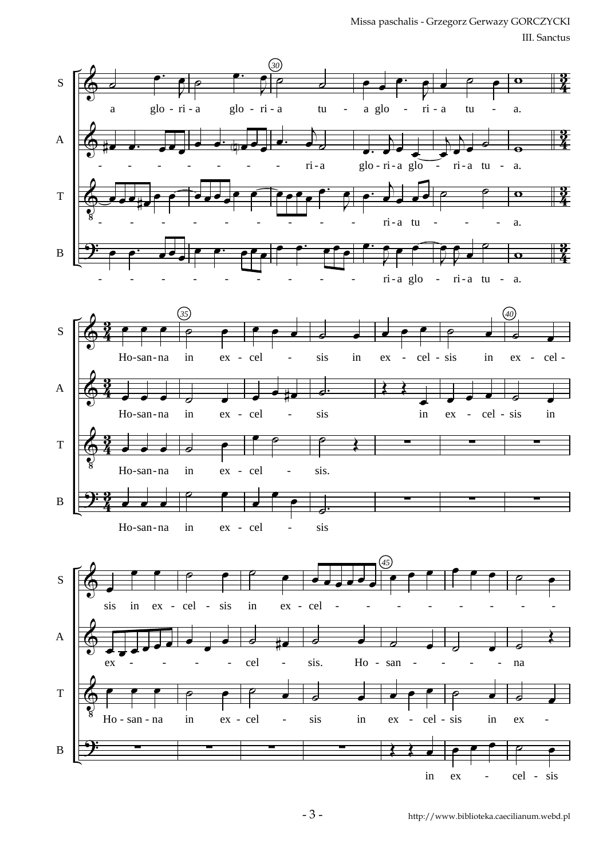Missa paschalis - Grzegorz Gerwazy GORCZYCKI III. Sanctus



in ex - sis - cel

- 3 -